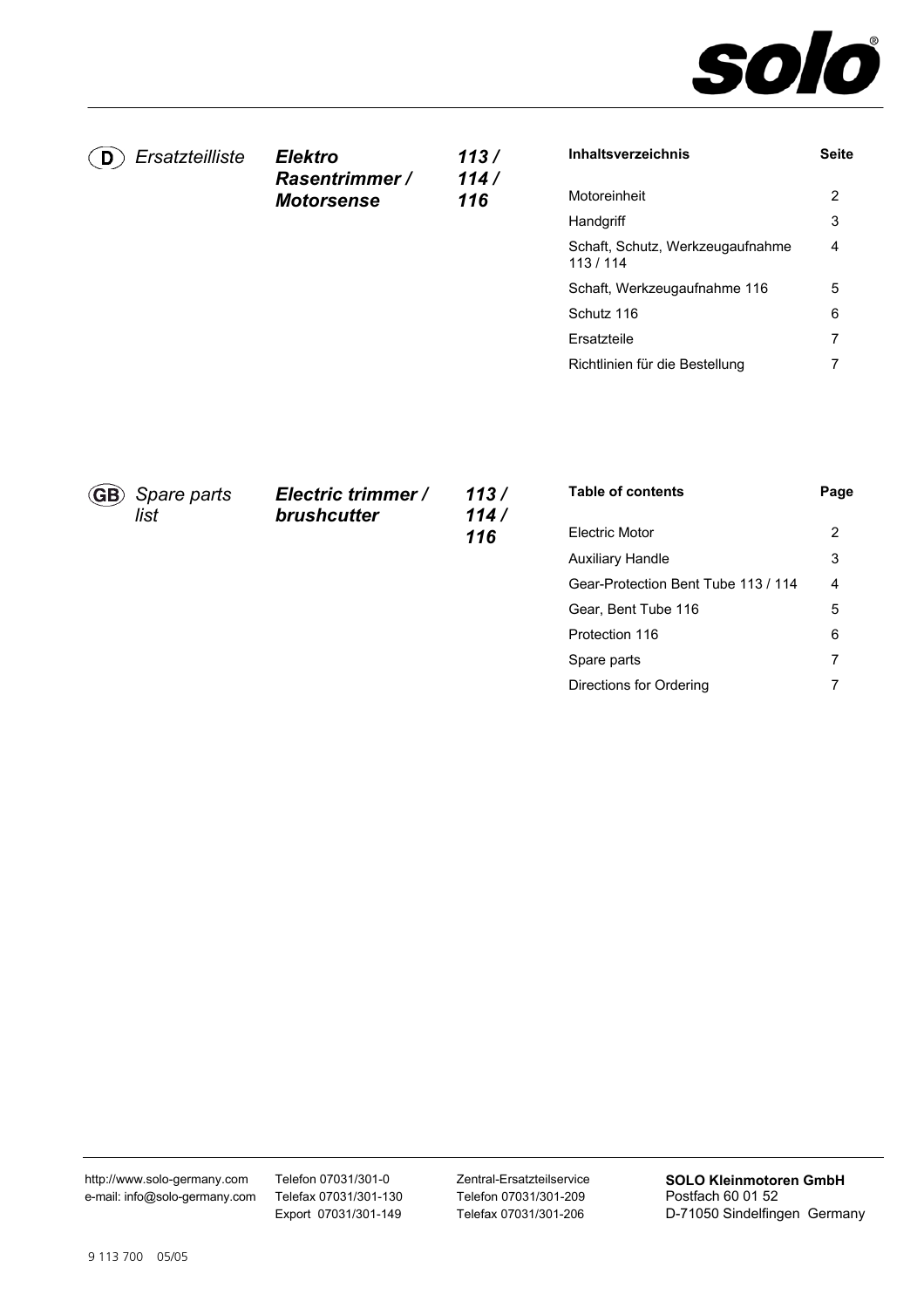

| D   | Ersatzteilliste     | <b>Elektro</b><br><b>Rasentrimmer /</b> | 113/<br>114/ | Inhaltsverzeichnis                          | <b>Seite</b>   |
|-----|---------------------|-----------------------------------------|--------------|---------------------------------------------|----------------|
|     |                     | <b>Motorsense</b>                       | 116          | Motoreinheit                                | $\overline{2}$ |
|     |                     |                                         |              | Handgriff                                   | 3              |
|     |                     |                                         |              | Schaft, Schutz, Werkzeugaufnahme<br>113/114 | 4              |
|     |                     |                                         |              | Schaft, Werkzeugaufnahme 116                | 5              |
|     |                     |                                         |              | Schutz 116                                  | 6              |
|     |                     |                                         |              | Ersatzteile                                 | 7              |
|     |                     |                                         |              | Richtlinien für die Bestellung              | 7              |
|     |                     |                                         |              |                                             |                |
| GB) | Spare parts<br>list | Electric trimmer /<br>brushcutter       | 113/<br>114/ | <b>Table of contents</b>                    | Page           |
|     |                     |                                         | 116          | <b>Electric Motor</b>                       | $\overline{2}$ |
|     |                     |                                         |              | <b>Auxiliary Handle</b>                     | 3              |
|     |                     |                                         |              | Gear-Protection Bent Tube 113 / 114         | 4              |

[Gear, Bent Tube 116](#page-4-0) 

[Directions for Ordering](#page-6-1) 

[Protection 116](#page-5-0)  [Spare parts](#page-6-0) 

Telefon 07031/301-0 Telefax 07031/301-130 Export 07031/301-149 Zentral-Ersatzteilservice Telefon 07031/301-209 Telefax 07031/301-206

**SOLO Kleinmotoren GmbH**  Postfach 60 01 52 D-71050 Sindelfingen Germany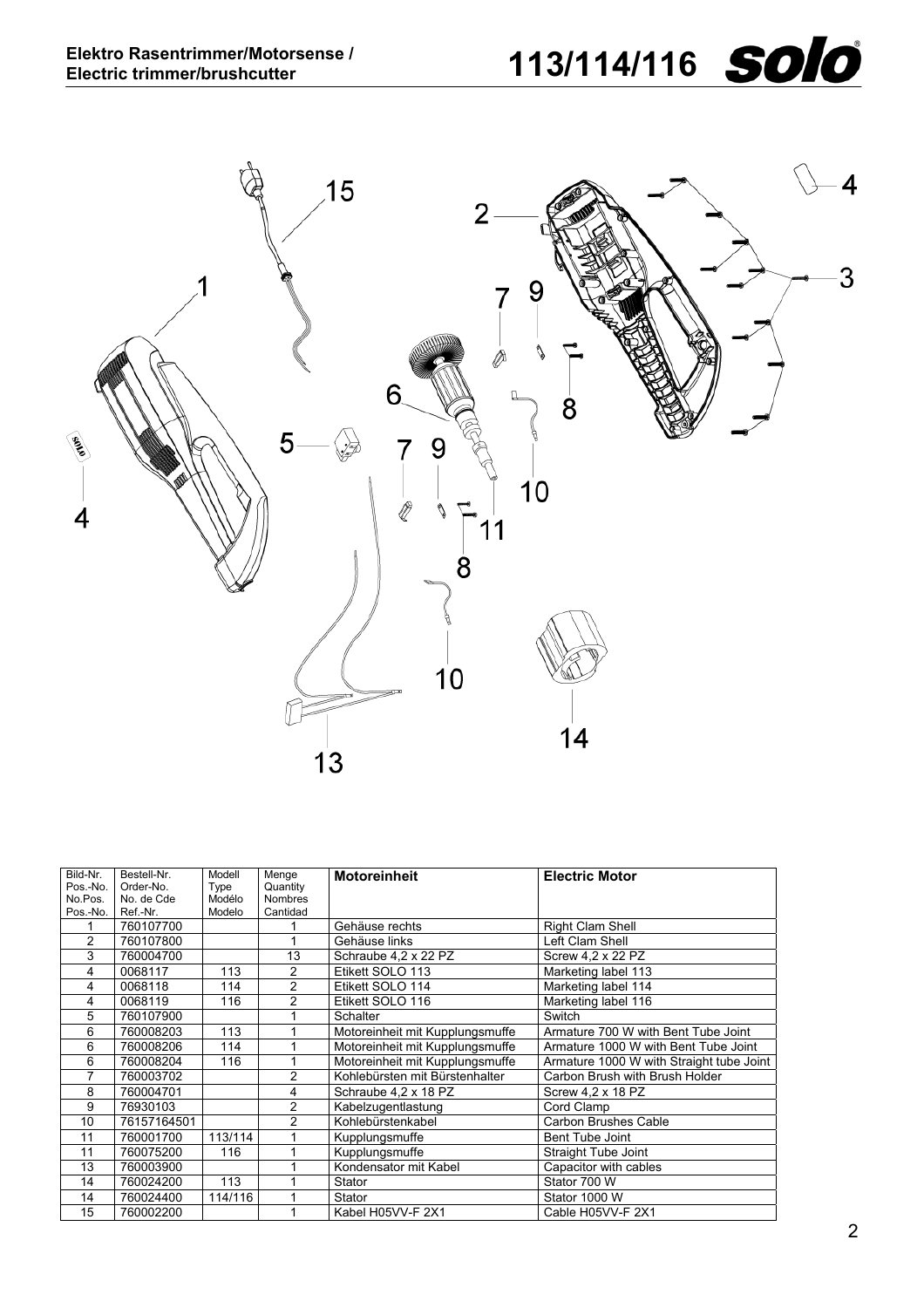

<span id="page-1-0"></span>

| Bild-Nr.       | Bestell-Nr. | Modell  | Menge          | <b>Motoreinheit</b>             | <b>Electric Motor</b>                    |
|----------------|-------------|---------|----------------|---------------------------------|------------------------------------------|
| Pos.-No.       | Order-No.   | Type    | Quantity       |                                 |                                          |
| No.Pos.        | No. de Cde  | Modélo  | <b>Nombres</b> |                                 |                                          |
| Pos.-No.       | Ref.-Nr.    | Modelo  | Cantidad       |                                 |                                          |
|                | 760107700   |         |                | Gehäuse rechts                  | <b>Right Clam Shell</b>                  |
| $\overline{2}$ | 760107800   |         |                | Gehäuse links                   | Left Clam Shell                          |
| 3              | 760004700   |         | 13             | Schraube 4.2 x 22 PZ            | Screw 4,2 x 22 PZ                        |
| 4              | 0068117     | 113     | $\overline{2}$ | Etikett SOLO 113                | Marketing label 113                      |
| 4              | 0068118     | 114     | $\overline{2}$ | Etikett SOLO 114                | Marketing label 114                      |
| 4              | 0068119     | 116     | $\overline{2}$ | Etikett SOLO 116                | Marketing label 116                      |
| 5              | 760107900   |         |                | <b>Schalter</b>                 | Switch                                   |
| 6              | 760008203   | 113     |                | Motoreinheit mit Kupplungsmuffe | Armature 700 W with Bent Tube Joint      |
| 6              | 760008206   | 114     |                | Motoreinheit mit Kupplungsmuffe | Armature 1000 W with Bent Tube Joint     |
| 6              | 760008204   | 116     |                | Motoreinheit mit Kupplungsmuffe | Armature 1000 W with Straight tube Joint |
| 7              | 760003702   |         | $\overline{2}$ | Kohlebürsten mit Bürstenhalter  | Carbon Brush with Brush Holder           |
| 8              | 760004701   |         | 4              | Schraube 4,2 x 18 PZ            | Screw 4,2 x 18 PZ                        |
| 9              | 76930103    |         | $\overline{2}$ | Kabelzugentlastung              | Cord Clamp                               |
| 10             | 76157164501 |         | $\overline{2}$ | Kohlebürstenkabel               | <b>Carbon Brushes Cable</b>              |
| 11             | 760001700   | 113/114 |                | Kupplungsmuffe                  | Bent Tube Joint                          |
| 11             | 760075200   | 116     |                | Kupplungsmuffe                  | Straight Tube Joint                      |
| 13             | 760003900   |         |                | Kondensator mit Kabel           | Capacitor with cables                    |
| 14             | 760024200   | 113     |                | Stator                          | Stator 700 W                             |
| 14             | 760024400   | 114/116 |                | Stator                          | Stator 1000 W                            |
| 15             | 760002200   |         |                | Kabel H05VV-F 2X1               | Cable H05VV-F 2X1                        |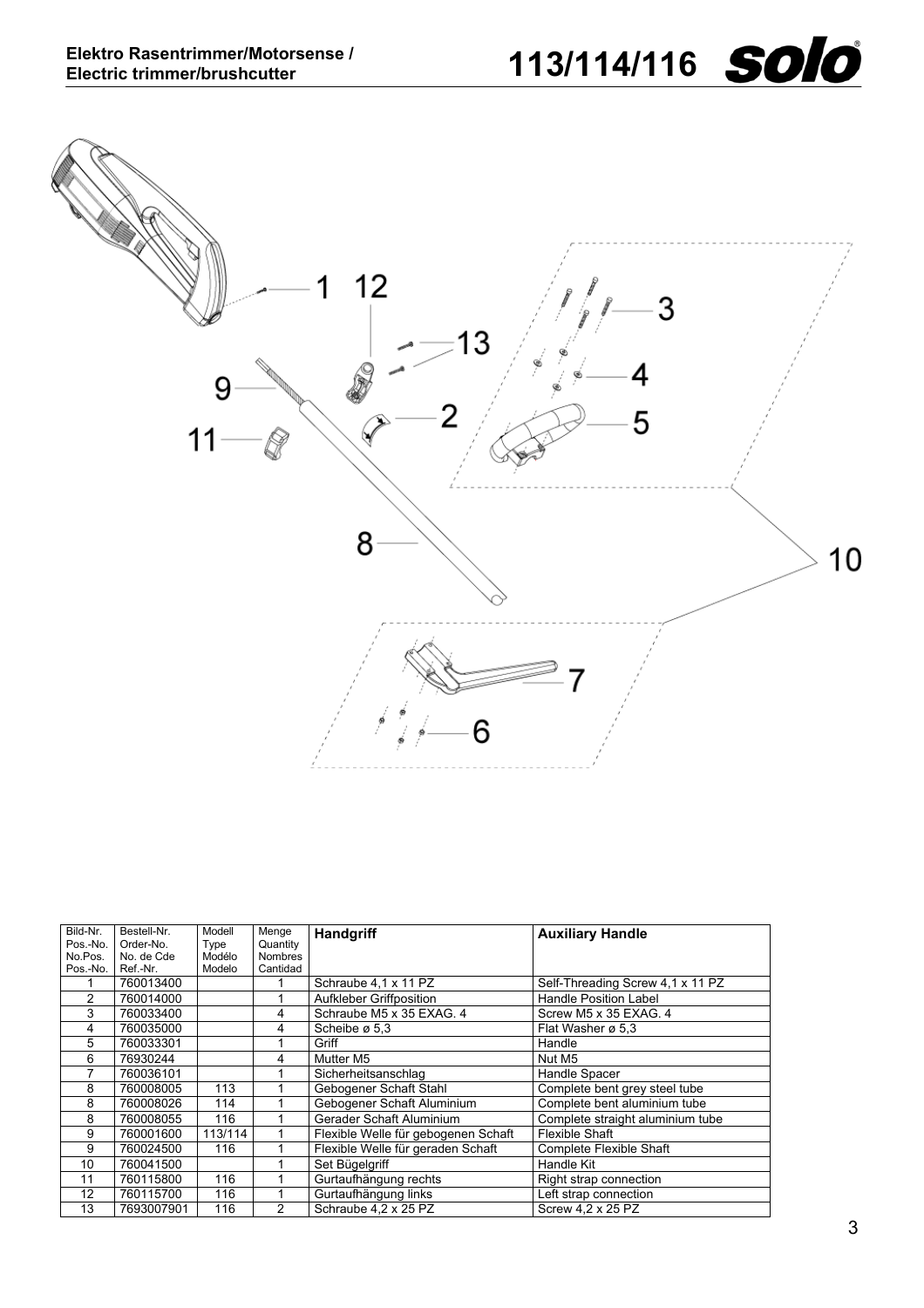

<span id="page-2-0"></span>

| Bild-Nr. | Bestell-Nr. | Modell  | Menge          | Handgriff                           | <b>Auxiliary Handle</b>          |
|----------|-------------|---------|----------------|-------------------------------------|----------------------------------|
| Pos.-No. | Order-No.   | Type    | Quantity       |                                     |                                  |
| No.Pos.  | No. de Cde  | Modélo  | Nombres        |                                     |                                  |
| Pos.-No. | Ref.-Nr.    | Modelo  | Cantidad       |                                     |                                  |
|          | 760013400   |         |                | Schraube 4,1 x 11 PZ                | Self-Threading Screw 4,1 x 11 PZ |
| 2        | 760014000   |         |                | Aufkleber Griffposition             | <b>Handle Position Label</b>     |
| 3        | 760033400   |         | 4              | Schraube M5 x 35 EXAG. 4            | Screw M5 x 35 EXAG. 4            |
| 4        | 760035000   |         | 4              | Scheibe ø 5,3                       | Flat Washer ø 5.3                |
| 5        | 760033301   |         |                | Griff                               | Handle                           |
| 6        | 76930244    |         | 4              | Mutter M5                           | Nut M5                           |
| 7        | 760036101   |         |                | Sicherheitsanschlag                 | Handle Spacer                    |
| 8        | 760008005   | 113     |                | Gebogener Schaft Stahl              | Complete bent grey steel tube    |
| 8        | 760008026   | 114     |                | Gebogener Schaft Aluminium          | Complete bent aluminium tube     |
| 8        | 760008055   | 116     |                | Gerader Schaft Aluminium            | Complete straight aluminium tube |
| 9        | 760001600   | 113/114 |                | Flexible Welle für gebogenen Schaft | Flexible Shaft                   |
| 9        | 760024500   | 116     |                | Flexible Welle für geraden Schaft   | <b>Complete Flexible Shaft</b>   |
| 10       | 760041500   |         |                | Set Bügelgriff                      | Handle Kit                       |
| 11       | 760115800   | 116     |                | Gurtaufhängung rechts               | Right strap connection           |
| 12       | 760115700   | 116     |                | Gurtaufhängung links                | Left strap connection            |
| 13       | 7693007901  | 116     | $\overline{2}$ | Schraube 4,2 x 25 PZ                | Screw 4.2 x 25 PZ                |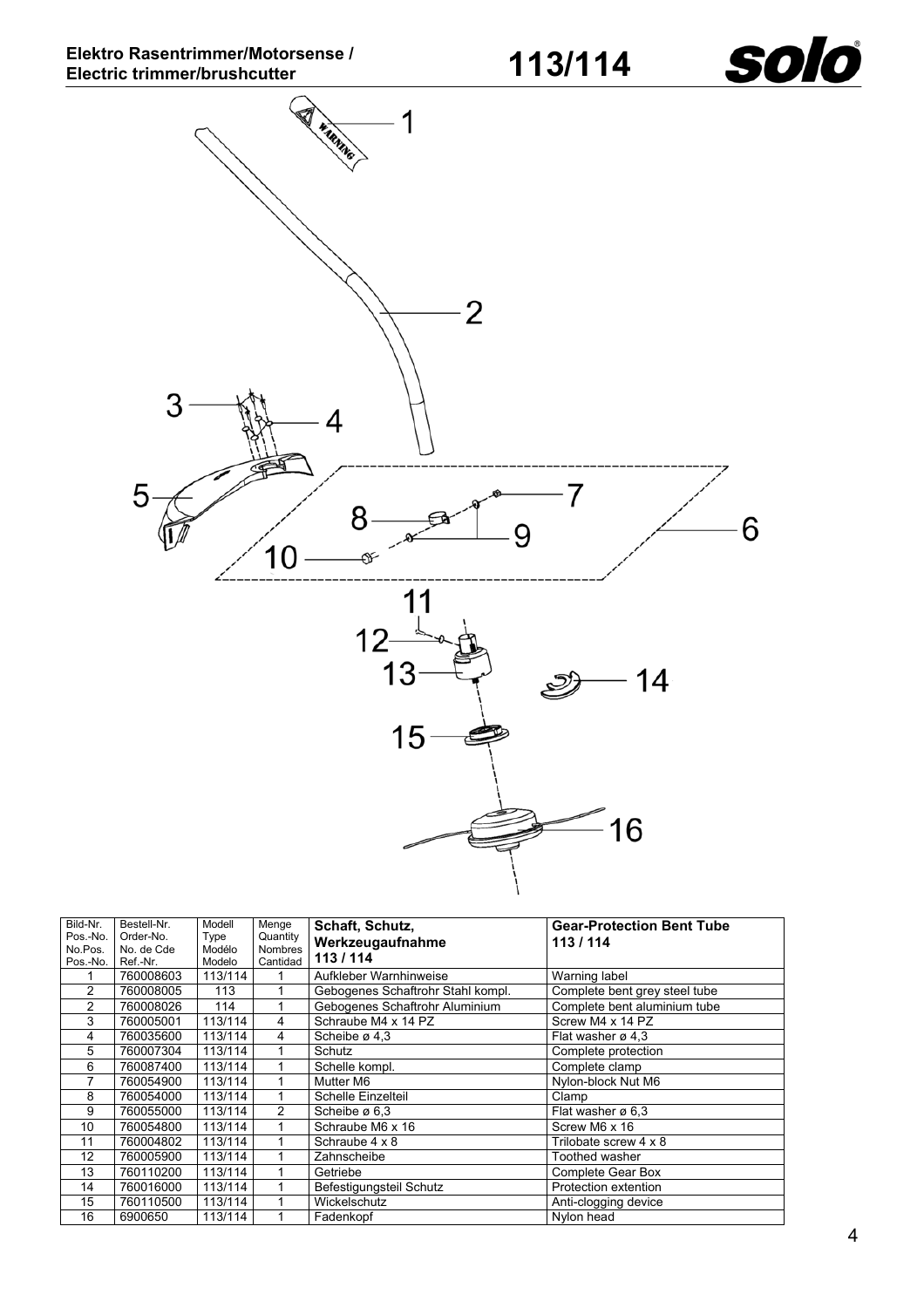

<span id="page-3-0"></span>

| Bild-Nr.       | Bestell-Nr. | Modell  | Menge          | Schaft, Schutz,                   | <b>Gear-Protection Bent Tube</b> |
|----------------|-------------|---------|----------------|-----------------------------------|----------------------------------|
| Pos.-No.       | Order-No.   | Type    | Quantity       | Werkzeugaufnahme                  | 113/114                          |
| No.Pos.        | No. de Cde  | Modélo  | <b>Nombres</b> | 113/114                           |                                  |
| Pos.-No.       | Ref.-Nr.    | Modelo  | Cantidad       |                                   |                                  |
|                | 760008603   | 113/114 |                | Aufkleber Warnhinweise            | Warning label                    |
| $\overline{c}$ | 760008005   | 113     |                | Gebogenes Schaftrohr Stahl kompl. | Complete bent grey steel tube    |
| 2              | 760008026   | 114     |                | Gebogenes Schaftrohr Aluminium    | Complete bent aluminium tube     |
| 3              | 760005001   | 113/114 | 4              | Schraube M4 x 14 PZ               | Screw M4 x 14 PZ                 |
| 4              | 760035600   | 113/114 | 4              | Scheibe $\varnothing$ 4.3         | Flat washer ø 4.3                |
| 5              | 760007304   | 113/114 |                | Schutz                            | Complete protection              |
| 6              | 760087400   | 113/114 |                | Schelle kompl.                    | Complete clamp                   |
| 7              | 760054900   | 113/114 |                | Mutter M6                         | Nylon-block Nut M6               |
| 8              | 760054000   | 113/114 |                | Schelle Einzelteil                | Clamp                            |
| 9              | 760055000   | 113/114 | 2              | Scheibe ø 6.3                     | Flat washer $\varnothing$ 6.3    |
| 10             | 760054800   | 113/114 |                | Schraube M6 x 16                  | Screw M6 x 16                    |
| 11             | 760004802   | 113/114 |                | Schraube 4 x 8                    | Trilobate screw 4 x 8            |
| 12             | 760005900   | 113/114 |                | Zahnscheibe                       | Toothed washer                   |
| 13             | 760110200   | 113/114 |                | Getriebe                          | Complete Gear Box                |
| 14             | 760016000   | 113/114 |                | Befestigungsteil Schutz           | Protection extention             |
| 15             | 760110500   | 113/114 |                | Wickelschutz                      | Anti-clogging device             |
| 16             | 6900650     | 113/114 |                | Fadenkopf                         | Nylon head                       |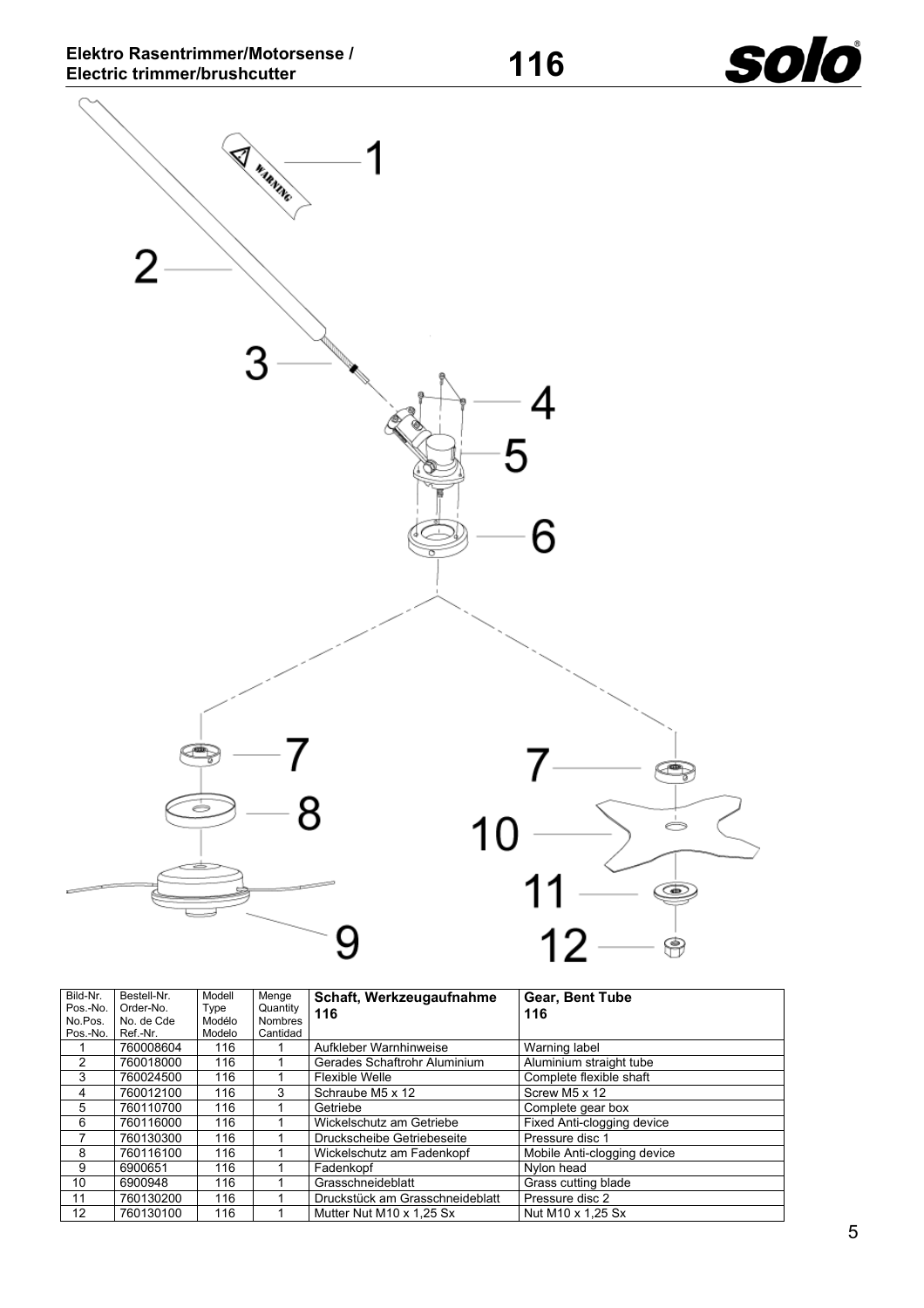<span id="page-4-0"></span>**SAMANIE**  $\overline{2}$ 3 4  $5\overline{5}$ 6 7 ⋐ 8  $10$ ó 11  $\circledcirc$  $12$ 9  $\bigcirc$ 

| Bild-Nr. | Bestell-Nr. | Modell | Menge          | Schaft, Werkzeugaufnahme        | <b>Gear, Bent Tube</b>      |
|----------|-------------|--------|----------------|---------------------------------|-----------------------------|
| Pos.-No. | Order-No.   | Type   | Quantity       | 116                             | 116                         |
| No.Pos.  | No. de Cde  | Modélo | <b>Nombres</b> |                                 |                             |
| Pos.-No. | Ref.-Nr.    | Modelo | Cantidad       |                                 |                             |
|          | 760008604   | 116    |                | Aufkleber Warnhinweise          | Warning label               |
|          | 760018000   | 116    |                | Gerades Schaftrohr Aluminium    | Aluminium straight tube     |
| 3        | 760024500   | 116    |                | Flexible Welle                  | Complete flexible shaft     |
| 4        | 760012100   | 116    | 3              | Schraube M5 x 12                | Screw M5 x 12               |
| 5        | 760110700   | 116    |                | Getriebe                        | Complete gear box           |
| 6        | 760116000   | 116    |                | Wickelschutz am Getriebe        | Fixed Anti-clogging device  |
|          | 760130300   | 116    |                | Druckscheibe Getriebeseite      | Pressure disc 1             |
| 8        | 760116100   | 116    |                | Wickelschutz am Fadenkopf       | Mobile Anti-clogging device |
| 9        | 6900651     | 116    |                | Fadenkopf                       | Nylon head                  |
| 10       | 6900948     | 116    |                | Grasschneideblatt               | Grass cutting blade         |
| 11       | 760130200   | 116    |                | Druckstück am Grasschneideblatt | Pressure disc 2             |
| 12       | 760130100   | 116    |                | Mutter Nut M10 x 1,25 Sx        | Nut M10 x 1.25 Sx           |

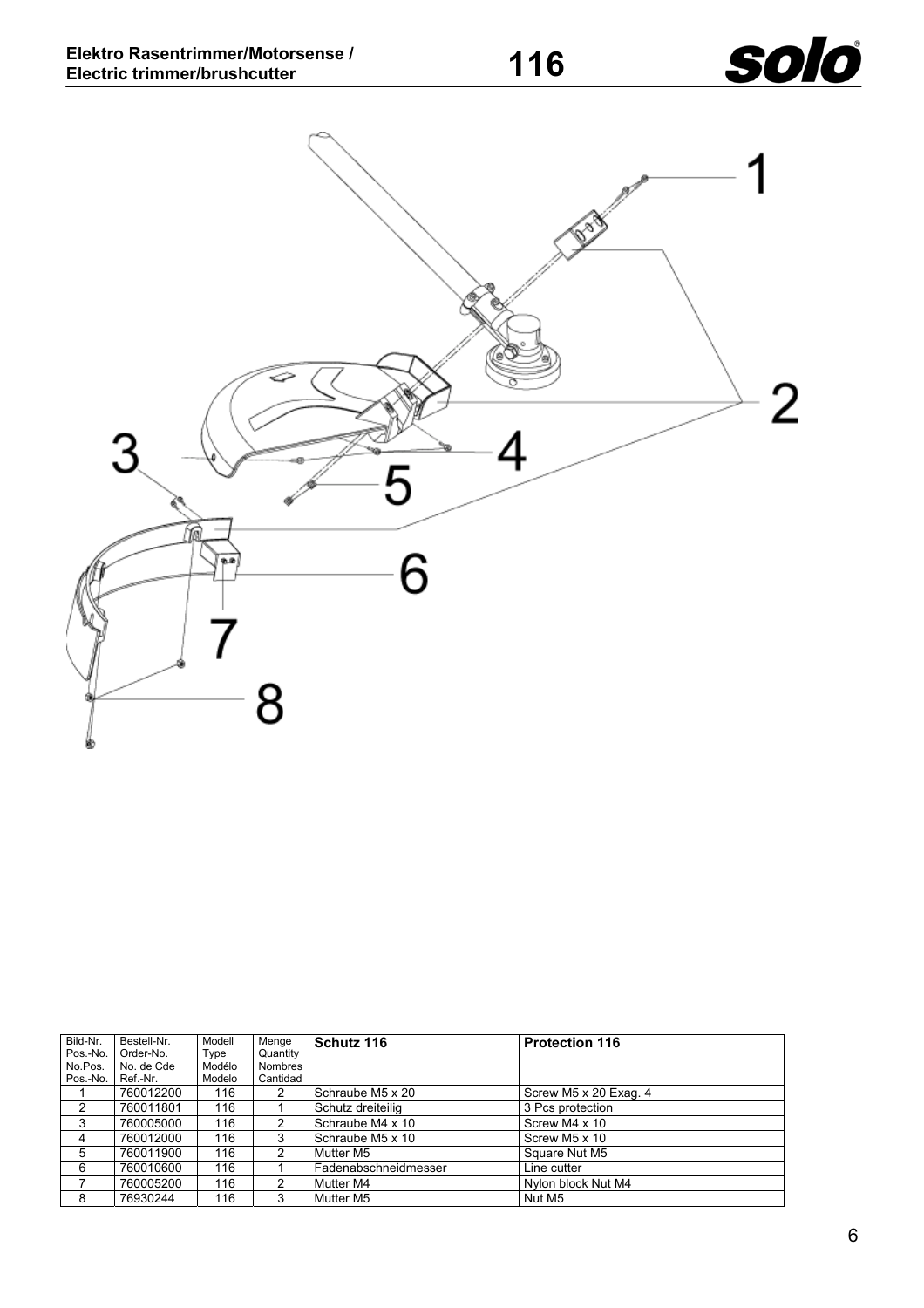

<span id="page-5-0"></span>

| Bild-Nr.<br>Pos.-No. | Bestell-Nr.<br>Order-No. | Modell<br>Type | Menge<br>Quantity | Schutz 116           | <b>Protection 116</b> |
|----------------------|--------------------------|----------------|-------------------|----------------------|-----------------------|
| No.Pos.              | No. de Cde               | Modélo         | <b>Nombres</b>    |                      |                       |
| Pos.-No.             | Ref.-Nr.                 | Modelo         | Cantidad          |                      |                       |
|                      | 760012200                | 116            | 2                 | Schraube M5 x 20     | Screw M5 x 20 Exag. 4 |
| 2                    | 760011801                | 116            |                   | Schutz dreiteilig    | 3 Pcs protection      |
| 3                    | 760005000                | 116            |                   | Schraube M4 x 10     | Screw M4 x 10         |
| 4                    | 760012000                | 116            | 3                 | Schraube M5 x 10     | Screw M5 x 10         |
| 5                    | 760011900                | 116            | 2                 | Mutter M5            | Square Nut M5         |
| 6                    | 760010600                | 116            |                   | Fadenabschneidmesser | Line cutter           |
|                      | 760005200                | 116            | 2                 | Mutter M4            | Nylon block Nut M4    |
| 8                    | 76930244                 | 116            | 3                 | Mutter M5            | Nut M5                |